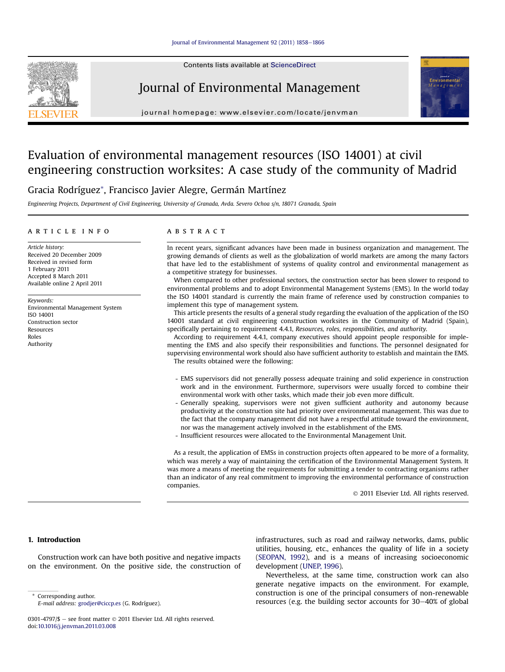#### [Journal of Environmental Management 92 \(2011\) 1858](http://dx.doi.org/10.1016/j.jenvman.2011.03.008)-[1866](http://dx.doi.org/10.1016/j.jenvman.2011.03.008)

Contents lists available at ScienceDirect



Journal of Environmental Management



journal homepage: [www.elsevier.com/locate/jenvman](http://www.elsevier.com/locate/jenvman)

## Evaluation of environmental management resources (ISO 14001) at civil engineering construction worksites: A case study of the community of Madrid

Gracia Rodríguez\*, Francisco Javier Alegre, Germán Martínez

Engineering Projects, Department of Civil Engineering, University of Granada, Avda. Severo Ochoa s/n, 18071 Granada, Spain

### article info

Article history: Received 20 December 2009 Received in revised form 1 February 2011 Accepted 8 March 2011 Available online 2 April 2011

Keywords: Environmental Management System ISO 14001 Construction sector Resources Roles Authority

## **ABSTRACT**

In recent years, significant advances have been made in business organization and management. The growing demands of clients as well as the globalization of world markets are among the many factors that have led to the establishment of systems of quality control and environmental management as a competitive strategy for businesses.

When compared to other professional sectors, the construction sector has been slower to respond to environmental problems and to adopt Environmental Management Systems (EMS). In the world today the ISO 14001 standard is currently the main frame of reference used by construction companies to implement this type of management system.

This article presents the results of a general study regarding the evaluation of the application of the ISO 14001 standard at civil engineering construction worksites in the Community of Madrid (Spain), specifically pertaining to requirement 4.4.1, Resources, roles, responsibilities, and authority.

According to requirement 4.4.1, company executives should appoint people responsible for implementing the EMS and also specify their responsibilities and functions. The personnel designated for supervising environmental work should also have sufficient authority to establish and maintain the EMS. The results obtained were the following:

- EMS supervisors did not generally possess adequate training and solid experience in construction work and in the environment. Furthermore, supervisors were usually forced to combine their environmental work with other tasks, which made their job even more difficult.
- Generally speaking, supervisors were not given sufficient authority and autonomy because productivity at the construction site had priority over environmental management. This was due to the fact that the company management did not have a respectful attitude toward the environment, nor was the management actively involved in the establishment of the EMS.
- Insufficient resources were allocated to the Environmental Management Unit.

As a result, the application of EMSs in construction projects often appeared to be more of a formality, which was merely a way of maintaining the certification of the Environmental Management System. It was more a means of meeting the requirements for submitting a tender to contracting organisms rather than an indicator of any real commitment to improving the environmental performance of construction companies.

2011 Elsevier Ltd. All rights reserved.

## 1. Introduction

Construction work can have both positive and negative impacts on the environment. On the positive side, the construction of

E-mail address: [grodjer@ciccp.es](mailto:grodjer@ciccp.es) (G. Rodríguez).

infrastructures, such as road and railway networks, dams, public utilities, housing, etc., enhances the quality of life in a society ([SEOPAN, 1992](#page--1-0)), and is a means of increasing socioeconomic development [\(UNEP, 1996\)](#page--1-0).

Nevertheless, at the same time, construction work can also generate negative impacts on the environment. For example, construction is one of the principal consumers of non-renewable Corresponding author.<br>
F-mail address: erodier@ciccn es (G. Rodríguez) **Secure Corresponding sector accounts for 30–40% of global** \* Corresponding resources (e.g. the building sector accounts for 30–40% of global

<sup>0301-4797/\$ -</sup> see front matter  $\odot$  2011 Elsevier Ltd. All rights reserved. doi:[10.1016/j.jenvman.2011.03.008](http://dx.doi.org/10.1016/j.jenvman.2011.03.008)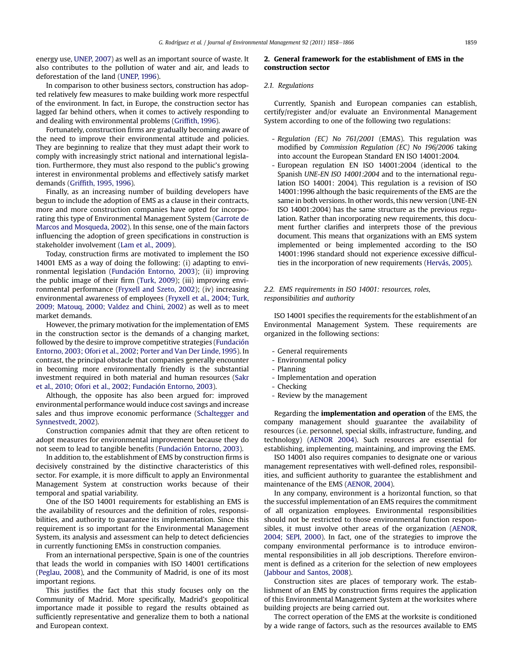energy use, [UNEP, 2007](#page--1-0)) as well as an important source of waste. It also contributes to the pollution of water and air, and leads to deforestation of the land ([UNEP, 1996\)](#page--1-0).

In comparison to other business sectors, construction has adopted relatively few measures to make building work more respectful of the environment. In fact, in Europe, the construction sector has lagged far behind others, when it comes to actively responding to and dealing with environmental problems (Griffi[th, 1996\)](#page--1-0).

Fortunately, construction firms are gradually becoming aware of the need to improve their environmental attitude and policies. They are beginning to realize that they must adapt their work to comply with increasingly strict national and international legislation. Furthermore, they must also respond to the public's growing interest in environmental problems and effectively satisfy market demands (Griffi[th, 1995, 1996](#page--1-0)).

Finally, as an increasing number of building developers have begun to include the adoption of EMS as a clause in their contracts, more and more construction companies have opted for incorporating this type of Environmental Management System ([Garrote de](#page--1-0) [Marcos and Mosqueda, 2002](#page--1-0)). In this sense, one of the main factors influencing the adoption of green specifications in construction is stakeholder involvement [\(Lam et al., 2009\)](#page--1-0).

Today, construction firms are motivated to implement the ISO 14001 EMS as a way of doing the following: (i) adapting to environmental legislation ([Fundación Entorno, 2003\)](#page--1-0); (ii) improving the public image of their firm ([Turk, 2009](#page--1-0)); (iii) improving environmental performance ([Fryxell and Szeto, 2002\)](#page--1-0); (iv) increasing environmental awareness of employees ([Fryxell et al., 2004; Turk,](#page--1-0) [2009; Matouq, 2000; Valdez and Chini, 2002\)](#page--1-0) as well as to meet market demands.

However, the primary motivation for the implementation of EMS in the construction sector is the demands of a changing market, followed by the desire to improve competitive strategies ([Fundación](#page--1-0) [Entorno, 2003; Ofori et al., 2002;](#page--1-0) [Porter and Van Der Linde, 1995](#page--1-0)). In contrast, the principal obstacle that companies generally encounter in becoming more environmentally friendly is the substantial investment required in both material and human resources [\(Sakr](#page--1-0) [et al., 2010; Ofori et al., 2002; Fundación Entorno, 2003](#page--1-0)).

Although, the opposite has also been argued for: improved environmental performance would induce cost savings and increase sales and thus improve economic performance [\(Schaltegger and](#page--1-0) [Synnestvedt, 2002](#page--1-0)).

Construction companies admit that they are often reticent to adopt measures for environmental improvement because they do not seem to lead to tangible benefits [\(Fundación Entorno, 2003](#page--1-0)).

In addition to, the establishment of EMS by construction firms is decisively constrained by the distinctive characteristics of this sector. For example, it is more difficult to apply an Environmental Management System at construction works because of their temporal and spatial variability.

One of the ISO 14001 requirements for establishing an EMS is the availability of resources and the definition of roles, responsibilities, and authority to guarantee its implementation. Since this requirement is so important for the Environmental Management System, its analysis and assessment can help to detect deficiencies in currently functioning EMSs in construction companies.

From an international perspective, Spain is one of the countries that leads the world in companies with ISO 14001 certifications ([Peglau, 2008\)](#page--1-0), and the Community of Madrid, is one of its most important regions.

This justifies the fact that this study focuses only on the Community of Madrid. More specifically, Madrid's geopolitical importance made it possible to regard the results obtained as sufficiently representative and generalize them to both a national and European context.

## 2. General framework for the establishment of EMS in the construction sector

## 2.1. Regulations

Currently, Spanish and European companies can establish, certify/register and/or evaluate an Environmental Management System according to one of the following two regulations:

- Regulation (EC) No 761/2001 (EMAS). This regulation was modified by Commission Regulation (EC) No 196/2006 taking into account the European Standard EN ISO 14001:2004.
- European regulation EN ISO 14001:2004 (identical to the Spanish UNE-EN ISO 14001:2004 and to the international regulation ISO 14001: 2004). This regulation is a revision of ISO 14001:1996 although the basic requirements of the EMS are the same in both versions. In other words, this new version (UNE-EN ISO 14001:2004) has the same structure as the previous regulation. Rather than incorporating new requirements, this document further clarifies and interprets those of the previous document. This means that organizations with an EMS system implemented or being implemented according to the ISO 14001:1996 standard should not experience excessive difficulties in the incorporation of new requirements [\(Hervás, 2005](#page--1-0)).

## 2.2. EMS requirements in ISO 14001: resources, roles, responsibilities and authority

ISO 14001 specifies the requirements for the establishment of an Environmental Management System. These requirements are organized in the following sections:

- General requirements
- Environmental policy
- Planning
- Implementation and operation
- Checking
- Review by the management

Regarding the implementation and operation of the EMS, the company management should guarantee the availability of resources (i.e. personnel, special skills, infrastructure, funding, and technology) [\(AENOR 2004\)](#page--1-0). Such resources are essential for establishing, implementing, maintaining, and improving the EMS.

ISO 14001 also requires companies to designate one or various management representatives with well-defined roles, responsibilities, and sufficient authority to guarantee the establishment and maintenance of the EMS ([AENOR, 2004\)](#page--1-0).

In any company, environment is a horizontal function, so that the successful implementation of an EMS requires the commitment of all organization employees. Environmental responsibilities should not be restricted to those environmental function responsibles, it must involve other areas of the organization ([AENOR,](#page--1-0) [2004; SEPI, 2000\)](#page--1-0). In fact, one of the strategies to improve the company environmental performance is to introduce environmental responsibilities in all job descriptions. Therefore environment is defined as a criterion for the selection of new employees ([Jabbour and Santos, 2008](#page--1-0)).

Construction sites are places of temporary work. The establishment of an EMS by construction firms requires the application of this Environmental Management System at the worksites where building projects are being carried out.

The correct operation of the EMS at the worksite is conditioned by a wide range of factors, such as the resources available to EMS